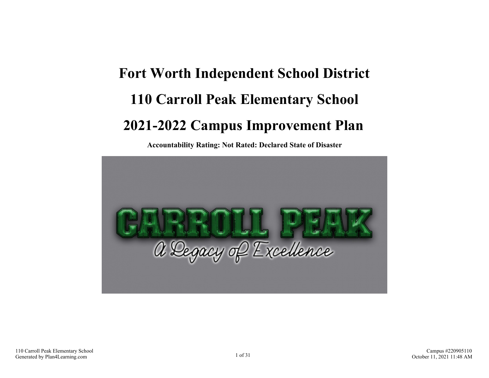# **Fort Worth Independent School District 110 Carroll Peak Elementary School 2021-2022 Campus Improvement Plan**

**Accountability Rating: Not Rated: Declared State of Disaster**

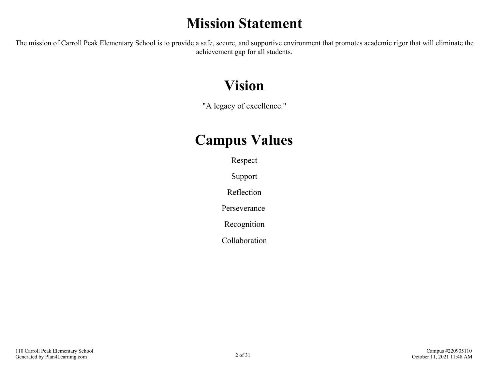### **Mission Statement**

The mission of Carroll Peak Elementary School is to provide a safe, secure, and supportive environment that promotes academic rigor that will eliminate the achievement gap for all students.

### **Vision**

"A legacy of excellence."

### **Campus Values**

Respect

Support

Reflection

Perseverance

Recognition

Collaboration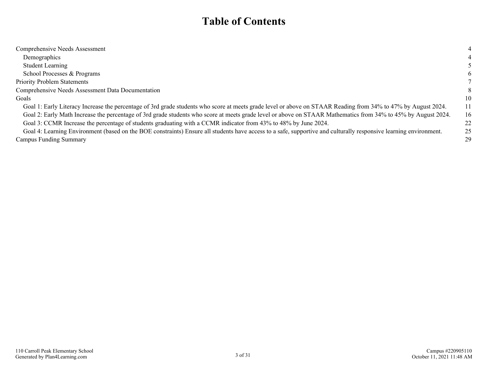### **Table of Contents**

| Comprehensive Needs Assessment                                                                                                                                    |    |
|-------------------------------------------------------------------------------------------------------------------------------------------------------------------|----|
| Demographics                                                                                                                                                      |    |
| <b>Student Learning</b>                                                                                                                                           |    |
| School Processes & Programs                                                                                                                                       | 6  |
| <b>Priority Problem Statements</b>                                                                                                                                |    |
| Comprehensive Needs Assessment Data Documentation                                                                                                                 | 8  |
| Goals                                                                                                                                                             | 10 |
| Goal 1: Early Literacy Increase the percentage of 3rd grade students who score at meets grade level or above on STAAR Reading from 34% to 47% by August 2024.     | 11 |
| Goal 2: Early Math Increase the percentage of 3rd grade students who score at meets grade level or above on STAAR Mathematics from 34% to 45% by August 2024.     | 16 |
| Goal 3: CCMR Increase the percentage of students graduating with a CCMR indicator from 43% to 48% by June 2024.                                                   | 22 |
| Goal 4: Learning Environment (based on the BOE constraints) Ensure all students have access to a safe, supportive and culturally responsive learning environment. | 25 |
| <b>Campus Funding Summary</b>                                                                                                                                     | 29 |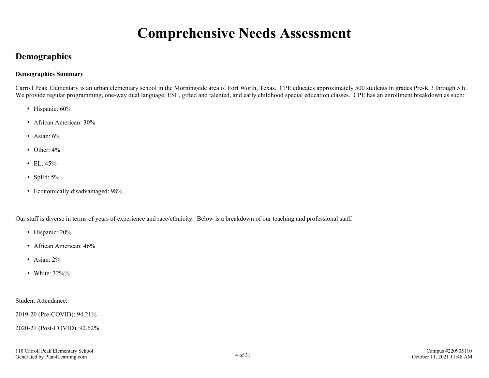### **Comprehensive Needs Assessment**

#### <span id="page-3-0"></span>**Demographics**

#### **Demographics Summary**

Carroll Peak Elementary is an urban elementary school in the Morningside area of Fort Worth, Texas. CPE educates approximately 500 students in grades Pre-K 3 through 5th. We provide regular programming, one-way dual language, ESL, gifted and talented, and early childhood special education classes. CPE has an enrollment breakdown as such:

- Hispanic: 60%
- African American: 30%
- Asian:  $6\%$
- $\bullet$  Other:  $4\%$
- $\cdot$  EL: 45%
- $\bullet$  SpEd: 5%
- Economically disadvantaged: 98%

Our staff is diverse in terms of years of experience and race/ethnicity. Below is a breakdown of our teaching and professional staff:

- Hispanic: 20%
- African American: 46%
- Asian: 2%
- White: 32%%

#### Student Attendance:

2019-20 (Pre-COVID): 94.21%

2020-21 (Post-COVID): 92.62%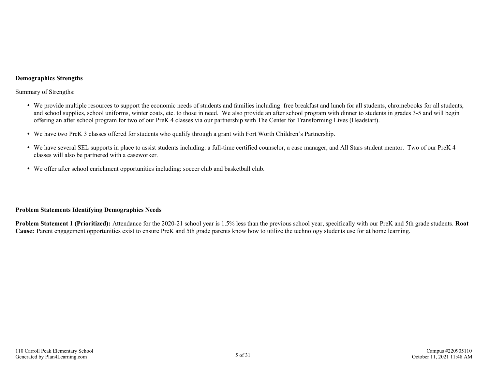#### **Demographics Strengths**

Summary of Strengths:

- We provide multiple resources to support the economic needs of students and families including: free breakfast and lunch for all students, chromebooks for all students, and school supplies, school uniforms, winter coats, etc. to those in need. We also provide an after school program with dinner to students in grades 3-5 and will begin offering an after school program for two of our PreK 4 classes via our partnership with The Center for Transforming Lives (Headstart).
- We have two PreK 3 classes offered for students who qualify through a grant with Fort Worth Children's Partnership.
- We have several SEL supports in place to assist students including: a full-time certified counselor, a case manager, and All Stars student mentor. Two of our PreK 4 classes will also be partnered with a caseworker.
- We offer after school enrichment opportunities including: soccer club and basketball club.

#### **Problem Statements Identifying Demographics Needs**

**Problem Statement 1 (Prioritized):** Attendance for the 2020-21 school year is 1.5% less than the previous school year, specifically with our PreK and 5th grade students. **Root Cause:** Parent engagement opportunities exist to ensure PreK and 5th grade parents know how to utilize the technology students use for at home learning.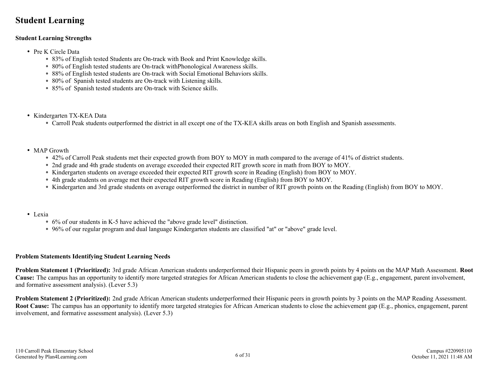#### <span id="page-5-0"></span>**Student Learning**

#### **Student Learning Strengths**

- Pre K Circle Data
	- 83% of English tested Students are On-track with Book and Print Knowledge skills.
	- 80% of English tested students are On-track withPhonological Awareness skills.
	- 88% of English tested students are On-track with Social Emotional Behaviors skills.
	- 80% of Spanish tested students are On-track with Listening skills.
	- 85% of Spanish tested students are On-track with Science skills.
- Kindergarten TX-KEA Data
	- Carroll Peak students outperformed the district in all except one of the TX-KEA skills areas on both English and Spanish assessments.
- MAP Growth
	- 42% of Carroll Peak students met their expected growth from BOY to MOY in math compared to the average of 41% of district students.
	- 2nd grade and 4th grade students on average exceeded their expected RIT growth score in math from BOY to MOY.
	- Kindergarten students on average exceeded their expected RIT growth score in Reading (English) from BOY to MOY.
	- 4th grade students on average met their expected RIT growth score in Reading (English) from BOY to MOY.
	- Kindergarten and 3rd grade students on average outperformed the district in number of RIT growth points on the Reading (English) from BOY to MOY.
- Lexia
	- 6% of our students in K-5 have achieved the "above grade level" distinction.
	- 96% of our regular program and dual language Kindergarten students are classified "at" or "above" grade level.

#### **Problem Statements Identifying Student Learning Needs**

**Problem Statement 1 (Prioritized):** 3rd grade African American students underperformed their Hispanic peers in growth points by 4 points on the MAP Math Assessment. **Root Cause:** The campus has an opportunity to identify more targeted strategies for African American students to close the achievement gap (E.g., engagement, parent involvement, and formative assessment analysis). (Lever 5.3)

**Problem Statement 2 (Prioritized):** 2nd grade African American students underperformed their Hispanic peers in growth points by 3 points on the MAP Reading Assessment. **Root Cause:** The campus has an opportunity to identify more targeted strategies for African American students to close the achievement gap (E.g., phonics, engagement, parent involvement, and formative assessment analysis). (Lever 5.3)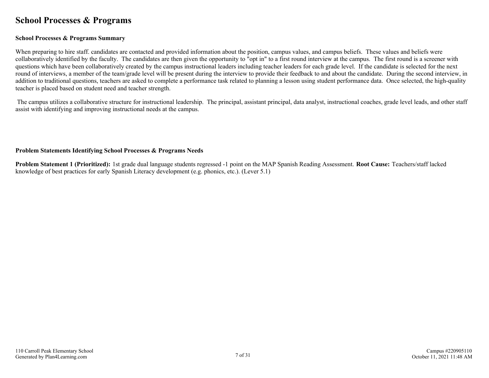#### <span id="page-6-0"></span>**School Processes & Programs**

#### **School Processes & Programs Summary**

When preparing to hire staff, candidates are contacted and provided information about the position, campus values, and campus beliefs. These values and beliefs were collaboratively identified by the faculty. The candidates are then given the opportunity to "opt in" to a first round interview at the campus. The first round is a screener with questions which have been collaboratively created by the campus instructional leaders including teacher leaders for each grade level. If the candidate is selected for the next round of interviews, a member of the team/grade level will be present during the interview to provide their feedback to and about the candidate. During the second interview, in addition to traditional questions, teachers are asked to complete a performance task related to planning a lesson using student performance data. Once selected, the high-quality teacher is placed based on student need and teacher strength.

 The campus utilizes a collaborative structure for instructional leadership. The principal, assistant principal, data analyst, instructional coaches, grade level leads, and other staff assist with identifying and improving instructional needs at the campus.

#### **Problem Statements Identifying School Processes & Programs Needs**

**Problem Statement 1 (Prioritized):** 1st grade dual language students regressed -1 point on the MAP Spanish Reading Assessment. **Root Cause:** Teachers/staff lacked knowledge of best practices for early Spanish Literacy development (e.g. phonics, etc.). (Lever 5.1)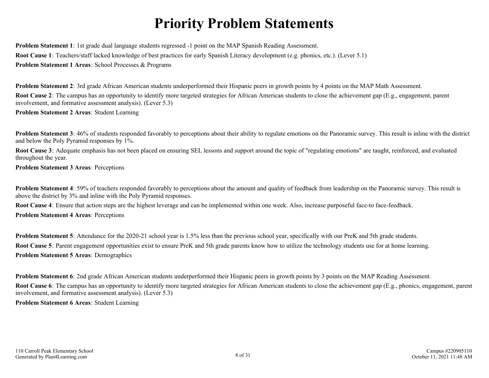### **Priority Problem Statements**

<span id="page-7-0"></span>**Problem Statement 1**: 1st grade dual language students regressed -1 point on the MAP Spanish Reading Assessment. **Root Cause 1**: Teachers/staff lacked knowledge of best practices for early Spanish Literacy development (e.g. phonics, etc.). (Lever 5.1) **Problem Statement 1 Areas**: School Processes & Programs

**Problem Statement 2:** 3rd grade African American students underperformed their Hispanic peers in growth points by 4 points on the MAP Math Assessment. **Root Cause 2**: The campus has an opportunity to identify more targeted strategies for African American students to close the achievement gap (E.g., engagement, parent involvement, and formative assessment analysis). (Lever 5.3)

**Problem Statement 2 Areas**: Student Learning

**Problem Statement 3**: 46% of students responded favorably to perceptions about their ability to regulate emotions on the Panoramic survey. This result is inline with the district and below the Poly Pyramid responses by 1%.

**Root Cause 3**: Adequate emphasis has not been placed on ensuring SEL lessons and support around the topic of "regulating emotions" are taught, reinforced, and evaluated throughout the year.

**Problem Statement 3 Areas**: Perceptions

**Problem Statement 4**: 59% of teachers responded favorably to perceptions about the amount and quality of feedback from leadership on the Panoramic survey. This result is above the district by 3% and inline with the Poly Pyramid responses.

**Root Cause 4**: Ensure that action steps are the highest leverage and can be implemented within one week. Also, increase purposeful face-to face-feedback.

**Problem Statement 4 Areas**: Perceptions

**Problem Statement 5**: Attendance for the 2020-21 school year is 1.5% less than the previous school year, specifically with our PreK and 5th grade students. **Root Cause 5**: Parent engagement opportunities exist to ensure PreK and 5th grade parents know how to utilize the technology students use for at home learning. **Problem Statement 5 Areas**: Demographics

**Problem Statement 6**: 2nd grade African American students underperformed their Hispanic peers in growth points by 3 points on the MAP Reading Assessment. **Root Cause 6**: The campus has an opportunity to identify more targeted strategies for African American students to close the achievement gap (E.g., phonics, engagement, parent

involvement, and formative assessment analysis). (Lever 5.3)

**Problem Statement 6 Areas**: Student Learning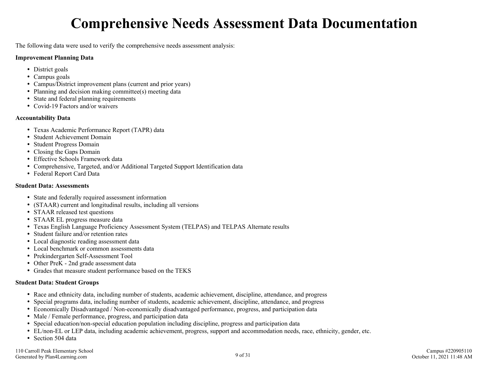### **Comprehensive Needs Assessment Data Documentation**

<span id="page-8-0"></span>The following data were used to verify the comprehensive needs assessment analysis:

#### **Improvement Planning Data**

- District goals
- Campus goals
- Campus/District improvement plans (current and prior years)
- $\bullet$  Planning and decision making committee(s) meeting data
- State and federal planning requirements
- Covid-19 Factors and/or waivers

#### **Accountability Data**

- Texas Academic Performance Report (TAPR) data
- Student Achievement Domain
- Student Progress Domain
- Closing the Gaps Domain
- Effective Schools Framework data
- Comprehensive, Targeted, and/or Additional Targeted Support Identification data
- Federal Report Card Data

#### **Student Data: Assessments**

- State and federally required assessment information
- (STAAR) current and longitudinal results, including all versions
- STAAR released test questions
- STAAR EL progress measure data
- Texas English Language Proficiency Assessment System (TELPAS) and TELPAS Alternate results
- Student failure and/or retention rates
- Local diagnostic reading assessment data
- Local benchmark or common assessments data
- Prekindergarten Self-Assessment Tool
- Other PreK 2nd grade assessment data
- Grades that measure student performance based on the TEKS

#### **Student Data: Student Groups**

- Race and ethnicity data, including number of students, academic achievement, discipline, attendance, and progress
- Special programs data, including number of students, academic achievement, discipline, attendance, and progress
- Economically Disadvantaged / Non-economically disadvantaged performance, progress, and participation data
- Male / Female performance, progress, and participation data
- Special education/non-special education population including discipline, progress and participation data
- EL/non-EL or LEP data, including academic achievement, progress, support and accommodation needs, race, ethnicity, gender, etc.
- Section 504 data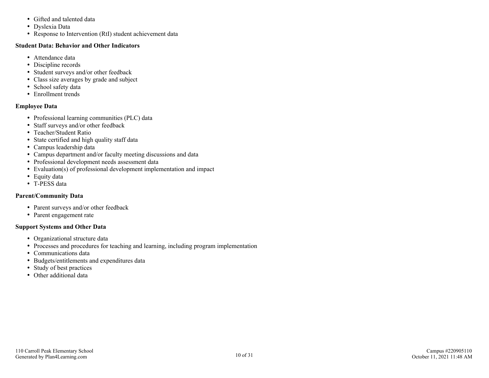- Gifted and talented data
- Dyslexia Data
- Response to Intervention (RtI) student achievement data

#### **Student Data: Behavior and Other Indicators**

- Attendance data
- Discipline records
- Student surveys and/or other feedback
- Class size averages by grade and subject
- School safety data
- Enrollment trends

#### **Employee Data**

- Professional learning communities (PLC) data
- Staff surveys and/or other feedback
- Teacher/Student Ratio
- State certified and high quality staff data
- Campus leadership data
- Campus department and/or faculty meeting discussions and data
- Professional development needs assessment data
- Evaluation(s) of professional development implementation and impact
- Equity data
- T-PESS data

#### **Parent/Community Data**

- Parent surveys and/or other feedback
- Parent engagement rate

#### **Support Systems and Other Data**

- Organizational structure data
- Processes and procedures for teaching and learning, including program implementation
- Communications data
- Budgets/entitlements and expenditures data
- Study of best practices
- Other additional data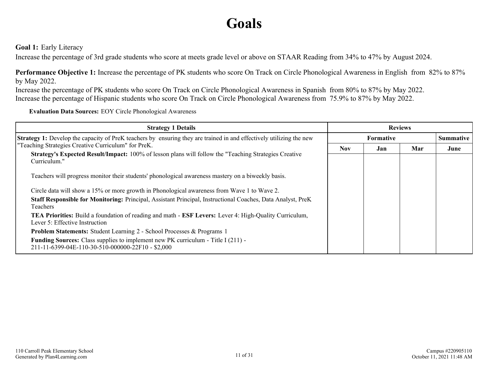### **Goals**

<span id="page-10-0"></span>**Goal 1:** Early Literacy

Increase the percentage of 3rd grade students who score at meets grade level or above on STAAR Reading from 34% to 47% by August 2024.

**Performance Objective 1:** Increase the percentage of PK students who score On Track on Circle Phonological Awareness in English from 82% to 87% by May 2022.

Increase the percentage of PK students who score On Track on Circle Phonological Awareness in Spanish from 80% to 87% by May 2022. Increase the percentage of Hispanic students who score On Track on Circle Phonological Awareness from 75.9% to 87% by May 2022.

**Evaluation Data Sources:** EOY Circle Phonological Awareness

| <b>Strategy 1 Details</b>                                                                                                                                     | <b>Reviews</b> |                  |     |                  |  |
|---------------------------------------------------------------------------------------------------------------------------------------------------------------|----------------|------------------|-----|------------------|--|
| <b>Strategy 1:</b> Develop the capacity of PreK teachers by ensuring they are trained in and effectively utilizing the new                                    |                | <b>Formative</b> |     | <b>Summative</b> |  |
| "Teaching Strategies Creative Curriculum" for PreK.<br>Strategy's Expected Result/Impact: 100% of lesson plans will follow the "Teaching Strategies Creative" | <b>Nov</b>     | Jan              | Mar | June             |  |
| Curriculum."<br>Teachers will progress monitor their students' phonological awareness mastery on a biweekly basis.                                            |                |                  |     |                  |  |
| Circle data will show a 15% or more growth in Phonological awareness from Wave 1 to Wave 2.                                                                   |                |                  |     |                  |  |
| Staff Responsible for Monitoring: Principal, Assistant Principal, Instructional Coaches, Data Analyst, PreK<br><b>Teachers</b>                                |                |                  |     |                  |  |
| <b>TEA Priorities:</b> Build a foundation of reading and math - <b>ESF Levers:</b> Lever 4: High-Quality Curriculum,<br>Lever 5: Effective Instruction        |                |                  |     |                  |  |
| Problem Statements: Student Learning 2 - School Processes & Programs 1                                                                                        |                |                  |     |                  |  |
| <b>Funding Sources:</b> Class supplies to implement new PK curriculum - Title I (211) -<br>211-11-6399-04E-110-30-510-000000-22F10 - \$2,000                  |                |                  |     |                  |  |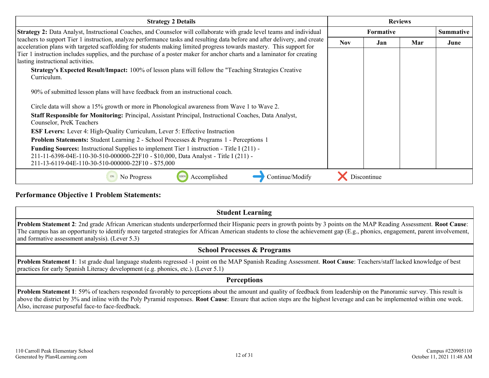| <b>Strategy 2 Details</b>                                                                                                                                                                                                                         | <b>Reviews</b> |                  |     |                  |
|---------------------------------------------------------------------------------------------------------------------------------------------------------------------------------------------------------------------------------------------------|----------------|------------------|-----|------------------|
| Strategy 2: Data Analyst, Instructional Coaches, and Counselor will collaborate with grade level teams and individual                                                                                                                             |                | <b>Formative</b> |     | <b>Summative</b> |
| teachers to support Tier 1 instruction, analyze performance tasks and resulting data before and after delivery, and create<br>acceleration plans with targeted scaffolding for students making limited progress towards mastery. This support for | <b>Nov</b>     | Jan              | Mar | June             |
| Tier 1 instruction includes supplies, and the purchase of a poster maker for anchor charts and a laminator for creating<br>lasting instructional activities.                                                                                      |                |                  |     |                  |
| <b>Strategy's Expected Result/Impact:</b> 100% of lesson plans will follow the "Teaching Strategies Creative"<br>Curriculum.                                                                                                                      |                |                  |     |                  |
| 90% of submitted lesson plans will have feedback from an instructional coach.                                                                                                                                                                     |                |                  |     |                  |
| Circle data will show a 15% growth or more in Phonological awareness from Wave 1 to Wave 2.                                                                                                                                                       |                |                  |     |                  |
| Staff Responsible for Monitoring: Principal, Assistant Principal, Instructional Coaches, Data Analyst,<br>Counselor, PreK Teachers                                                                                                                |                |                  |     |                  |
| <b>ESF Levers:</b> Lever 4: High-Quality Curriculum, Lever 5: Effective Instruction                                                                                                                                                               |                |                  |     |                  |
| <b>Problem Statements:</b> Student Learning 2 - School Processes & Programs 1 - Perceptions 1                                                                                                                                                     |                |                  |     |                  |
| <b>Funding Sources:</b> Instructional Supplies to implement Tier 1 instruction - Title I (211) -<br>211-11-6398-04E-110-30-510-000000-22F10 - \$10,000, Data Analyst - Title I (211) -<br>211-13-6119-04E-110-30-510-000000-22F10 - \$75,000      |                |                  |     |                  |
| Accomplished<br>Continue/Modify<br>No Progress                                                                                                                                                                                                    |                | Discontinue      |     |                  |

**Performance Objective 1 Problem Statements:**

**Student Learning**

**Problem Statement 2**: 2nd grade African American students underperformed their Hispanic peers in growth points by 3 points on the MAP Reading Assessment. **Root Cause**: The campus has an opportunity to identify more targeted strategies for African American students to close the achievement gap (E.g., phonics, engagement, parent involvement, and formative assessment analysis). (Lever 5.3)

#### **School Processes & Programs**

**Problem Statement 1**: 1st grade dual language students regressed -1 point on the MAP Spanish Reading Assessment. **Root Cause**: Teachers/staff lacked knowledge of best practices for early Spanish Literacy development (e.g. phonics, etc.). (Lever 5.1)

#### **Perceptions**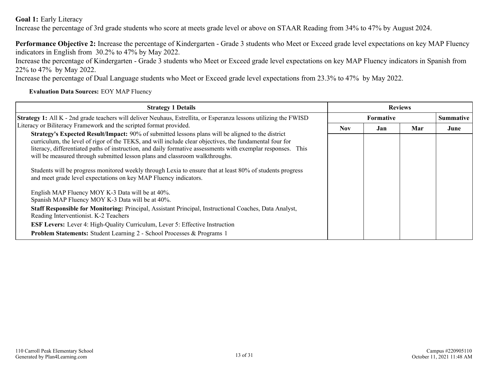**Goal 1:** Early Literacy

Increase the percentage of 3rd grade students who score at meets grade level or above on STAAR Reading from 34% to 47% by August 2024.

**Performance Objective 2:** Increase the percentage of Kindergarten - Grade 3 students who Meet or Exceed grade level expectations on key MAP Fluency indicators in English from 30.2% to 47% by May 2022.

Increase the percentage of Kindergarten - Grade 3 students who Meet or Exceed grade level expectations on key MAP Fluency indicators in Spanish from 22% to 47% by May 2022.

Increase the percentage of Dual Language students who Meet or Exceed grade level expectations from 23.3% to 47% by May 2022.

**Evaluation Data Sources:** EOY MAP Fluency

| <b>Strategy 1 Details</b>                                                                                                                                                                                                                                                                                                                                                                                                                                                                                                                                                                           | <b>Reviews</b> |           |     |      |                  |
|-----------------------------------------------------------------------------------------------------------------------------------------------------------------------------------------------------------------------------------------------------------------------------------------------------------------------------------------------------------------------------------------------------------------------------------------------------------------------------------------------------------------------------------------------------------------------------------------------------|----------------|-----------|-----|------|------------------|
| Strategy 1: All K - 2nd grade teachers will deliver Neuhaus, Estrellita, or Esperanza lessons utilizing the FWISD                                                                                                                                                                                                                                                                                                                                                                                                                                                                                   |                | Formative |     |      | <b>Summative</b> |
| Literacy or Biliteracy Framework and the scripted format provided.                                                                                                                                                                                                                                                                                                                                                                                                                                                                                                                                  | <b>Nov</b>     | Jan       | Mar | June |                  |
| <b>Strategy's Expected Result/Impact:</b> 90% of submitted lessons plans will be aligned to the district<br>curriculum, the level of rigor of the TEKS, and will include clear objectives, the fundamental four for<br>literacy, differentiated paths of instruction, and daily formative assessments with exemplar responses. This<br>will be measured through submitted lesson plans and classroom walkthroughs.<br>Students will be progress monitored weekly through Lexia to ensure that at least 80% of students progress<br>and meet grade level expectations on key MAP Fluency indicators. |                |           |     |      |                  |
| English MAP Fluency MOY K-3 Data will be at 40%.<br>Spanish MAP Fluency MOY K-3 Data will be at 40%.                                                                                                                                                                                                                                                                                                                                                                                                                                                                                                |                |           |     |      |                  |
| Staff Responsible for Monitoring: Principal, Assistant Principal, Instructional Coaches, Data Analyst,<br>Reading Interventionist. K-2 Teachers                                                                                                                                                                                                                                                                                                                                                                                                                                                     |                |           |     |      |                  |
| <b>ESF Levers:</b> Lever 4: High-Quality Curriculum, Lever 5: Effective Instruction                                                                                                                                                                                                                                                                                                                                                                                                                                                                                                                 |                |           |     |      |                  |
| <b>Problem Statements:</b> Student Learning 2 - School Processes & Programs 1                                                                                                                                                                                                                                                                                                                                                                                                                                                                                                                       |                |           |     |      |                  |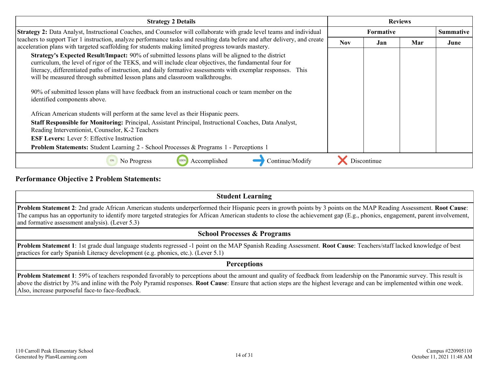| <b>Strategy 2 Details</b>                                                                                                                                                                                                                                                                                                                                                                                                                                                                                                                         | <b>Reviews</b>   |             |     |                  |
|---------------------------------------------------------------------------------------------------------------------------------------------------------------------------------------------------------------------------------------------------------------------------------------------------------------------------------------------------------------------------------------------------------------------------------------------------------------------------------------------------------------------------------------------------|------------------|-------------|-----|------------------|
| <b>Strategy 2:</b> Data Analyst, Instructional Coaches, and Counselor will collaborate with grade level teams and individual                                                                                                                                                                                                                                                                                                                                                                                                                      | <b>Formative</b> |             |     | <b>Summative</b> |
| teachers to support Tier 1 instruction, analyze performance tasks and resulting data before and after delivery, and create<br>acceleration plans with targeted scaffolding for students making limited progress towards mastery.                                                                                                                                                                                                                                                                                                                  | <b>Nov</b>       | Jan         | Mar | June             |
| Strategy's Expected Result/Impact: 90% of submitted lessons plans will be aligned to the district<br>curriculum, the level of rigor of the TEKS, and will include clear objectives, the fundamental four for<br>literacy, differentiated paths of instruction, and daily formative assessments with exemplar responses. This<br>will be measured through submitted lesson plans and classroom walkthroughs.<br>90% of submitted lesson plans will have feedback from an instructional coach or team member on the<br>identified components above. |                  |             |     |                  |
| African American students will perform at the same level as their Hispanic peers.<br>Staff Responsible for Monitoring: Principal, Assistant Principal, Instructional Coaches, Data Analyst,<br>Reading Interventionist, Counselor, K-2 Teachers<br><b>ESF Levers:</b> Lever 5: Effective Instruction<br>Problem Statements: Student Learning 2 - School Processes & Programs 1 - Perceptions 1                                                                                                                                                    |                  |             |     |                  |
| Accomplished<br>Continue/Modify<br>No Progress                                                                                                                                                                                                                                                                                                                                                                                                                                                                                                    |                  | Discontinue |     |                  |

#### **Performance Objective 2 Problem Statements:**

#### **Student Learning**

**Problem Statement 2**: 2nd grade African American students underperformed their Hispanic peers in growth points by 3 points on the MAP Reading Assessment. **Root Cause**: The campus has an opportunity to identify more targeted strategies for African American students to close the achievement gap (E.g., phonics, engagement, parent involvement, and formative assessment analysis). (Lever 5.3)

#### **School Processes & Programs**

**Problem Statement 1**: 1st grade dual language students regressed -1 point on the MAP Spanish Reading Assessment. **Root Cause**: Teachers/staff lacked knowledge of best practices for early Spanish Literacy development (e.g. phonics, etc.). (Lever 5.1)

#### **Perceptions**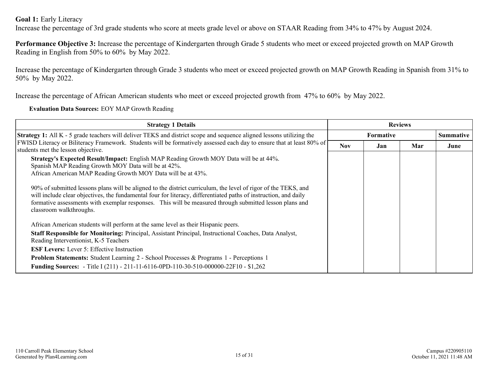**Goal 1:** Early Literacy

Increase the percentage of 3rd grade students who score at meets grade level or above on STAAR Reading from 34% to 47% by August 2024.

**Performance Objective 3:** Increase the percentage of Kindergarten through Grade 5 students who meet or exceed projected growth on MAP Growth Reading in English from 50% to 60% by May 2022.

Increase the percentage of Kindergarten through Grade 3 students who meet or exceed projected growth on MAP Growth Reading in Spanish from 31% to 50% by May 2022.

Increase the percentage of African American students who meet or exceed projected growth from 47% to 60% by May 2022.

**Evaluation Data Sources:** EOY MAP Growth Reading

| <b>Strategy 1 Details</b>                                                                                                                                                                                                                                                                                                                                                | <b>Reviews</b> |                  |     |                  |
|--------------------------------------------------------------------------------------------------------------------------------------------------------------------------------------------------------------------------------------------------------------------------------------------------------------------------------------------------------------------------|----------------|------------------|-----|------------------|
| Strategy 1: All K - 5 grade teachers will deliver TEKS and district scope and sequence aligned lessons utilizing the                                                                                                                                                                                                                                                     |                | <b>Formative</b> |     | <b>Summative</b> |
| FWISD Literacy or Biliteracy Framework. Students will be formatively assessed each day to ensure that at least 80% of<br>students met the lesson objective.                                                                                                                                                                                                              | <b>Nov</b>     | Jan              | Mar | June             |
| Strategy's Expected Result/Impact: English MAP Reading Growth MOY Data will be at 44%.<br>Spanish MAP Reading Growth MOY Data will be at 42%.<br>African American MAP Reading Growth MOY Data will be at 43%.                                                                                                                                                            |                |                  |     |                  |
| 90% of submitted lessons plans will be aligned to the district curriculum, the level of rigor of the TEKS, and<br>will include clear objectives, the fundamental four for literacy, differentiated paths of instruction, and daily<br>formative assessments with exemplar responses. This will be measured through submitted lesson plans and<br>classroom walkthroughs. |                |                  |     |                  |
| African American students will perform at the same level as their Hispanic peers.                                                                                                                                                                                                                                                                                        |                |                  |     |                  |
| Staff Responsible for Monitoring: Principal, Assistant Principal, Instructional Coaches, Data Analyst,<br>Reading Interventionist, K-5 Teachers                                                                                                                                                                                                                          |                |                  |     |                  |
| <b>ESF Levers:</b> Lever 5: Effective Instruction                                                                                                                                                                                                                                                                                                                        |                |                  |     |                  |
| <b>Problem Statements:</b> Student Learning 2 - School Processes & Programs 1 - Perceptions 1                                                                                                                                                                                                                                                                            |                |                  |     |                  |
| <b>Funding Sources:</b> - Title I (211) - 211-11-6116-0PD-110-30-510-000000-22F10 - \$1,262                                                                                                                                                                                                                                                                              |                |                  |     |                  |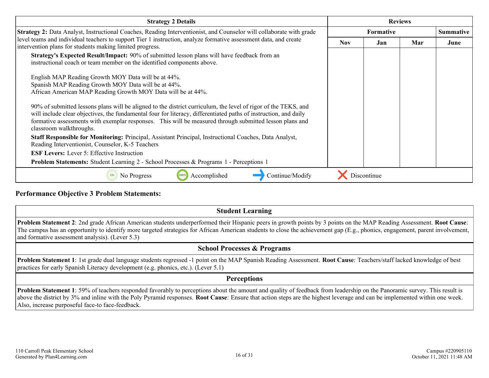| <b>Strategy 2 Details</b>                                                                                                                                                                                                                                                                                                                                                | <b>Reviews</b> |                  |     |      |
|--------------------------------------------------------------------------------------------------------------------------------------------------------------------------------------------------------------------------------------------------------------------------------------------------------------------------------------------------------------------------|----------------|------------------|-----|------|
| Strategy 2: Data Analyst, Instructional Coaches, Reading Interventionist, and Counselor will collaborate with grade                                                                                                                                                                                                                                                      |                | <b>Summative</b> |     |      |
| level teams and individual teachers to support Tier 1 instruction, analyze formative assessment data, and create<br>intervention plans for students making limited progress.                                                                                                                                                                                             | <b>Nov</b>     | Jan              | Mar | June |
| <b>Strategy's Expected Result/Impact:</b> 90% of submitted lesson plans will have feedback from an<br>instructional coach or team member on the identified components above.                                                                                                                                                                                             |                |                  |     |      |
| English MAP Reading Growth MOY Data will be at 44%.<br>Spanish MAP Reading Growth MOY Data will be at 44%.<br>African American MAP Reading Growth MOY Data will be at 44%.                                                                                                                                                                                               |                |                  |     |      |
| 90% of submitted lessons plans will be aligned to the district curriculum, the level of rigor of the TEKS, and<br>will include clear objectives, the fundamental four for literacy, differentiated paths of instruction, and daily<br>formative assessments with exemplar responses. This will be measured through submitted lesson plans and<br>classroom walkthroughs. |                |                  |     |      |
| Staff Responsible for Monitoring: Principal, Assistant Principal, Instructional Coaches, Data Analyst,<br>Reading Interventionist, Counselor, K-5 Teachers                                                                                                                                                                                                               |                |                  |     |      |
| <b>ESF Levers:</b> Lever 5: Effective Instruction                                                                                                                                                                                                                                                                                                                        |                |                  |     |      |
| <b>Problem Statements:</b> Student Learning 2 - School Processes & Programs 1 - Perceptions 1                                                                                                                                                                                                                                                                            |                |                  |     |      |
| Accomplished<br>Continue/Modify<br>No Progress                                                                                                                                                                                                                                                                                                                           |                | Discontinue      |     |      |

**Performance Objective 3 Problem Statements:**

**Student Learning Problem Statement 2**: 2nd grade African American students underperformed their Hispanic peers in growth points by 3 points on the MAP Reading Assessment. **Root Cause**: The campus has an opportunity to identify more targeted strategies for African American students to close the achievement gap (E.g., phonics, engagement, parent involvement, and formative assessment analysis). (Lever 5.3)

#### **School Processes & Programs**

**Problem Statement 1**: 1st grade dual language students regressed -1 point on the MAP Spanish Reading Assessment. **Root Cause**: Teachers/staff lacked knowledge of best practices for early Spanish Literacy development (e.g. phonics, etc.). (Lever 5.1)

#### **Perceptions**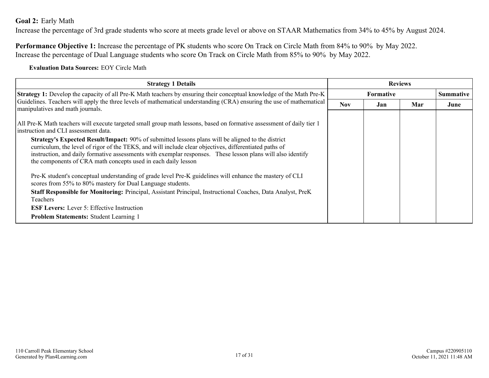#### <span id="page-16-0"></span>**Goal 2:** Early Math

Increase the percentage of 3rd grade students who score at meets grade level or above on STAAR Mathematics from 34% to 45% by August 2024.

**Performance Objective 1:** Increase the percentage of PK students who score On Track on Circle Math from 84% to 90% by May 2022. Increase the percentage of Dual Language students who score On Track on Circle Math from 85% to 90% by May 2022.

**Evaluation Data Sources:** EOY Circle Math

| <b>Strategy 1 Details</b>                                                                                                                                                                                                                                                                                                                                                                                                                                                                                                                                                                                                                                                                                                                                                                                                                                                                                                                                                             | <b>Reviews</b> |                  |     |                  |
|---------------------------------------------------------------------------------------------------------------------------------------------------------------------------------------------------------------------------------------------------------------------------------------------------------------------------------------------------------------------------------------------------------------------------------------------------------------------------------------------------------------------------------------------------------------------------------------------------------------------------------------------------------------------------------------------------------------------------------------------------------------------------------------------------------------------------------------------------------------------------------------------------------------------------------------------------------------------------------------|----------------|------------------|-----|------------------|
| Strategy 1: Develop the capacity of all Pre-K Math teachers by ensuring their conceptual knowledge of the Math Pre-K                                                                                                                                                                                                                                                                                                                                                                                                                                                                                                                                                                                                                                                                                                                                                                                                                                                                  |                | <b>Formative</b> |     | <b>Summative</b> |
| Guidelines. Teachers will apply the three levels of mathematical understanding (CRA) ensuring the use of mathematical<br>manipulatives and math journals.                                                                                                                                                                                                                                                                                                                                                                                                                                                                                                                                                                                                                                                                                                                                                                                                                             | <b>Nov</b>     | Jan              | Mar | June             |
| All Pre-K Math teachers will execute targeted small group math lessons, based on formative assessment of daily tier 1<br>instruction and CLI assessment data.<br>Strategy's Expected Result/Impact: 90% of submitted lessons plans will be aligned to the district<br>curriculum, the level of rigor of the TEKS, and will include clear objectives, differentiated paths of<br>instruction, and daily formative assessments with exemplar responses. These lesson plans will also identify<br>the components of CRA math concepts used in each daily lesson<br>Pre-K student's conceptual understanding of grade level Pre-K guidelines will enhance the mastery of CLI<br>scores from 55% to 80% mastery for Dual Language students.<br><b>Staff Responsible for Monitoring:</b> Principal, Assistant Principal, Instructional Coaches, Data Analyst, PreK<br><b>Teachers</b><br><b>ESF Levers:</b> Lever 5: Effective Instruction<br><b>Problem Statements: Student Learning 1</b> |                |                  |     |                  |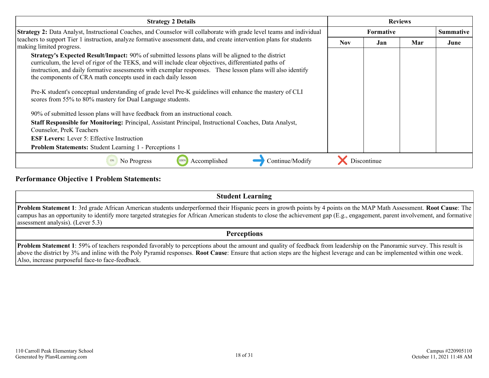| <b>Strategy 2 Details</b>                                                                                                                                                                                                                                                                                                                                                                          | <b>Reviews</b> |                  |     |                  |
|----------------------------------------------------------------------------------------------------------------------------------------------------------------------------------------------------------------------------------------------------------------------------------------------------------------------------------------------------------------------------------------------------|----------------|------------------|-----|------------------|
| Strategy 2: Data Analyst, Instructional Coaches, and Counselor will collaborate with grade level teams and individual                                                                                                                                                                                                                                                                              |                | <b>Formative</b> |     | <b>Summative</b> |
| teachers to support Tier 1 instruction, analyze formative assessment data, and create intervention plans for students<br>making limited progress.                                                                                                                                                                                                                                                  | <b>Nov</b>     | Jan              | Mar | June             |
| <b>Strategy's Expected Result/Impact:</b> 90% of submitted lessons plans will be aligned to the district<br>curriculum, the level of rigor of the TEKS, and will include clear objectives, differentiated paths of<br>instruction, and daily formative assessments with exemplar responses. These lesson plans will also identify<br>the components of CRA math concepts used in each daily lesson |                |                  |     |                  |
| Pre-K student's conceptual understanding of grade level Pre-K guidelines will enhance the mastery of CLI<br>scores from 55% to 80% mastery for Dual Language students.                                                                                                                                                                                                                             |                |                  |     |                  |
| 90% of submitted lesson plans will have feedback from an instructional coach.                                                                                                                                                                                                                                                                                                                      |                |                  |     |                  |
| Staff Responsible for Monitoring: Principal, Assistant Principal, Instructional Coaches, Data Analyst,<br>Counselor, PreK Teachers                                                                                                                                                                                                                                                                 |                |                  |     |                  |
| <b>ESF Levers:</b> Lever 5: Effective Instruction                                                                                                                                                                                                                                                                                                                                                  |                |                  |     |                  |
| Problem Statements: Student Learning 1 - Perceptions 1                                                                                                                                                                                                                                                                                                                                             |                |                  |     |                  |
| Continue/Modify<br>No Progress<br>Accomplished                                                                                                                                                                                                                                                                                                                                                     |                | Discontinue      |     |                  |

#### **Performance Objective 1 Problem Statements:**

| <b>Student Learning</b>                                                                                                                                                                                                                                                                                                                                                                                       |
|---------------------------------------------------------------------------------------------------------------------------------------------------------------------------------------------------------------------------------------------------------------------------------------------------------------------------------------------------------------------------------------------------------------|
| <b>Problem Statement 1</b> : 3rd grade African American students underperformed their Hispanic peers in growth points by 4 points on the MAP Math Assessment. <b>Root Cause</b> : The<br>campus has an opportunity to identify more targeted strategies for African American students to close the achievement gap (E.g., engagement, parent involvement, and formative)<br>assessment analysis). (Lever 5.3) |
| <b>Perceptions</b>                                                                                                                                                                                                                                                                                                                                                                                            |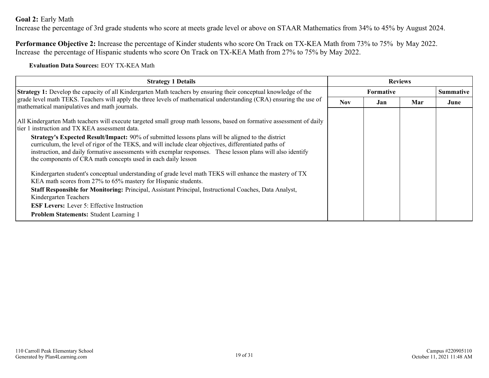#### **Goal 2:** Early Math

Increase the percentage of 3rd grade students who score at meets grade level or above on STAAR Mathematics from 34% to 45% by August 2024.

**Performance Objective 2:** Increase the percentage of Kinder students who score On Track on TX-KEA Math from 73% to 75% by May 2022. Increase the percentage of Hispanic students who score On Track on TX-KEA Math from 27% to 75% by May 2022.

**Evaluation Data Sources:** EOY TX-KEA Math

| <b>Strategy 1 Details</b>                                                                                                                                                                                                                                                                                                                                                                                                                                                                                                                                                                                                                                                                                                                                                                                                                                                                                                                                                                           | <b>Reviews</b> |                  |     |                  |
|-----------------------------------------------------------------------------------------------------------------------------------------------------------------------------------------------------------------------------------------------------------------------------------------------------------------------------------------------------------------------------------------------------------------------------------------------------------------------------------------------------------------------------------------------------------------------------------------------------------------------------------------------------------------------------------------------------------------------------------------------------------------------------------------------------------------------------------------------------------------------------------------------------------------------------------------------------------------------------------------------------|----------------|------------------|-----|------------------|
| <b>Strategy 1:</b> Develop the capacity of all Kindergarten Math teachers by ensuring their conceptual knowledge of the                                                                                                                                                                                                                                                                                                                                                                                                                                                                                                                                                                                                                                                                                                                                                                                                                                                                             |                | <b>Formative</b> |     | <b>Summative</b> |
| grade level math TEKS. Teachers will apply the three levels of mathematical understanding (CRA) ensuring the use of<br>mathematical manipulatives and math journals.                                                                                                                                                                                                                                                                                                                                                                                                                                                                                                                                                                                                                                                                                                                                                                                                                                | Nov.           | Jan              | Mar | June             |
| All Kindergarten Math teachers will execute targeted small group math lessons, based on formative assessment of daily<br>tier 1 instruction and TX KEA assessment data.<br><b>Strategy's Expected Result/Impact:</b> 90% of submitted lessons plans will be aligned to the district<br>curriculum, the level of rigor of the TEKS, and will include clear objectives, differentiated paths of<br>instruction, and daily formative assessments with exemplar responses. These lesson plans will also identify<br>the components of CRA math concepts used in each daily lesson<br>Kindergarten student's conceptual understanding of grade level math TEKS will enhance the mastery of TX<br>KEA math scores from 27% to 65% mastery for Hispanic students.<br>Staff Responsible for Monitoring: Principal, Assistant Principal, Instructional Coaches, Data Analyst,<br>Kindergarten Teachers<br><b>ESF Levers:</b> Lever 5: Effective Instruction<br><b>Problem Statements: Student Learning 1</b> |                |                  |     |                  |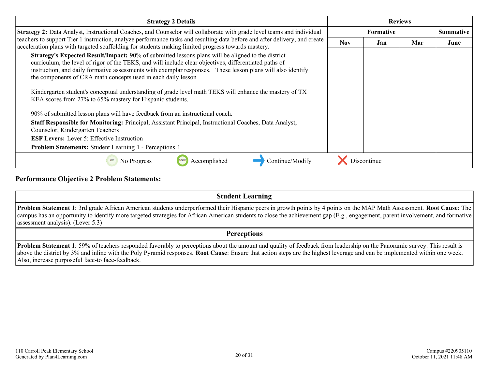| <b>Strategy 2 Details</b>                                                                                                                                                                                                                                                                                                                                                                                                                                                                                     | <b>Reviews</b>   |             |     |                  |
|---------------------------------------------------------------------------------------------------------------------------------------------------------------------------------------------------------------------------------------------------------------------------------------------------------------------------------------------------------------------------------------------------------------------------------------------------------------------------------------------------------------|------------------|-------------|-----|------------------|
| <b>Strategy 2:</b> Data Analyst, Instructional Coaches, and Counselor will collaborate with grade level teams and individual                                                                                                                                                                                                                                                                                                                                                                                  | <b>Formative</b> |             |     | <b>Summative</b> |
| teachers to support Tier 1 instruction, analyze performance tasks and resulting data before and after delivery, and create<br>acceleration plans with targeted scaffolding for students making limited progress towards mastery.                                                                                                                                                                                                                                                                              | <b>Nov</b>       | Jan         | Mar | June             |
| <b>Strategy's Expected Result/Impact:</b> 90% of submitted lessons plans will be aligned to the district<br>curriculum, the level of rigor of the TEKS, and will include clear objectives, differentiated paths of<br>instruction, and daily formative assessments with exemplar responses. These lesson plans will also identify<br>the components of CRA math concepts used in each daily lesson<br>Kindergarten student's conceptual understanding of grade level math TEKS will enhance the mastery of TX |                  |             |     |                  |
| KEA scores from 27% to 65% mastery for Hispanic students.                                                                                                                                                                                                                                                                                                                                                                                                                                                     |                  |             |     |                  |
| 90% of submitted lesson plans will have feedback from an instructional coach.                                                                                                                                                                                                                                                                                                                                                                                                                                 |                  |             |     |                  |
| Staff Responsible for Monitoring: Principal, Assistant Principal, Instructional Coaches, Data Analyst,<br>Counselor, Kindergarten Teachers                                                                                                                                                                                                                                                                                                                                                                    |                  |             |     |                  |
| <b>ESF Levers:</b> Lever 5: Effective Instruction                                                                                                                                                                                                                                                                                                                                                                                                                                                             |                  |             |     |                  |
| <b>Problem Statements:</b> Student Learning 1 - Perceptions 1                                                                                                                                                                                                                                                                                                                                                                                                                                                 |                  |             |     |                  |
| Continue/Modify<br>Accomplished<br>No Progress                                                                                                                                                                                                                                                                                                                                                                                                                                                                |                  | Discontinue |     |                  |

#### **Performance Objective 2 Problem Statements:**

#### **Student Learning Problem Statement 1**: 3rd grade African American students underperformed their Hispanic peers in growth points by 4 points on the MAP Math Assessment. **Root Cause**: The campus has an opportunity to identify more targeted strategies for African American students to close the achievement gap (E.g., engagement, parent involvement, and formative assessment analysis). (Lever 5.3) **Perceptions**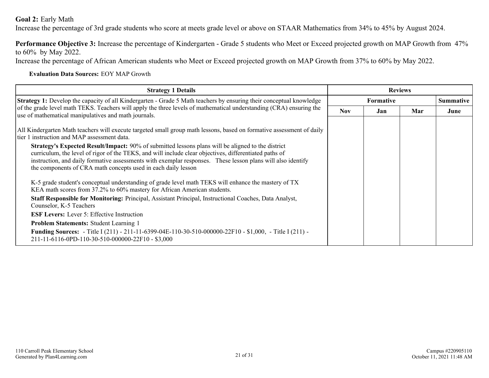#### **Goal 2:** Early Math

Increase the percentage of 3rd grade students who score at meets grade level or above on STAAR Mathematics from 34% to 45% by August 2024.

**Performance Objective 3:** Increase the percentage of Kindergarten - Grade 5 students who Meet or Exceed projected growth on MAP Growth from 47% to 60% by May 2022.

Increase the percentage of African American students who Meet or Exceed projected growth on MAP Growth from 37% to 60% by May 2022.

#### **Evaluation Data Sources:** EOY MAP Growth

| <b>Strategy 1 Details</b>                                                                                                                                                                                                                                                                                                                                                                          | <b>Reviews</b>   |     |     |                  |
|----------------------------------------------------------------------------------------------------------------------------------------------------------------------------------------------------------------------------------------------------------------------------------------------------------------------------------------------------------------------------------------------------|------------------|-----|-----|------------------|
| <b>Strategy 1:</b> Develop the capacity of all Kindergarten - Grade 5 Math teachers by ensuring their conceptual knowledge                                                                                                                                                                                                                                                                         | <b>Formative</b> |     |     | <b>Summative</b> |
| of the grade level math TEKS. Teachers will apply the three levels of mathematical understanding (CRA) ensuring the<br>use of mathematical manipulatives and math journals.                                                                                                                                                                                                                        | <b>Nov</b>       | Jan | Mar | June             |
|                                                                                                                                                                                                                                                                                                                                                                                                    |                  |     |     |                  |
| All Kindergarten Math teachers will execute targeted small group math lessons, based on formative assessment of daily<br>Itier 1 instruction and MAP assessment data.                                                                                                                                                                                                                              |                  |     |     |                  |
| <b>Strategy's Expected Result/Impact:</b> 90% of submitted lessons plans will be aligned to the district<br>curriculum, the level of rigor of the TEKS, and will include clear objectives, differentiated paths of<br>instruction, and daily formative assessments with exemplar responses. These lesson plans will also identify<br>the components of CRA math concepts used in each daily lesson |                  |     |     |                  |
| K-5 grade student's conceptual understanding of grade level math TEKS will enhance the mastery of TX<br>KEA math scores from 37.2% to 60% mastery for African American students.                                                                                                                                                                                                                   |                  |     |     |                  |
| Staff Responsible for Monitoring: Principal, Assistant Principal, Instructional Coaches, Data Analyst,<br>Counselor, K-5 Teachers                                                                                                                                                                                                                                                                  |                  |     |     |                  |
| <b>ESF Levers:</b> Lever 5: Effective Instruction                                                                                                                                                                                                                                                                                                                                                  |                  |     |     |                  |
| <b>Problem Statements: Student Learning 1</b>                                                                                                                                                                                                                                                                                                                                                      |                  |     |     |                  |
| Funding Sources: - Title I (211) - 211-11-6399-04E-110-30-510-000000-22F10 - \$1,000, - Title I (211) -<br>211-11-6116-0PD-110-30-510-000000-22F10 - \$3,000                                                                                                                                                                                                                                       |                  |     |     |                  |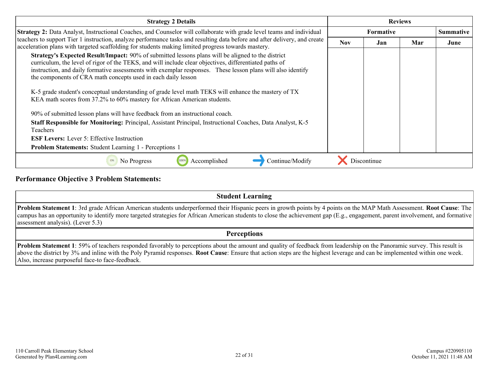| <b>Strategy 2 Details</b>                                                                                                                                                                                                                                                                                                                                                                                                                                                                                                                                                       | <b>Reviews</b>                         |             |  |                  |
|---------------------------------------------------------------------------------------------------------------------------------------------------------------------------------------------------------------------------------------------------------------------------------------------------------------------------------------------------------------------------------------------------------------------------------------------------------------------------------------------------------------------------------------------------------------------------------|----------------------------------------|-------------|--|------------------|
| <b>Strategy 2:</b> Data Analyst, Instructional Coaches, and Counselor will collaborate with grade level teams and individual                                                                                                                                                                                                                                                                                                                                                                                                                                                    | <b>Formative</b><br>Nov.<br>Jan<br>Mar |             |  | <b>Summative</b> |
| teachers to support Tier 1 instruction, analyze performance tasks and resulting data before and after delivery, and create<br>acceleration plans with targeted scaffolding for students making limited progress towards mastery.                                                                                                                                                                                                                                                                                                                                                |                                        |             |  | June             |
| Strategy's Expected Result/Impact: 90% of submitted lessons plans will be aligned to the district<br>curriculum, the level of rigor of the TEKS, and will include clear objectives, differentiated paths of<br>instruction, and daily formative assessments with exemplar responses. These lesson plans will also identify<br>the components of CRA math concepts used in each daily lesson<br>K-5 grade student's conceptual understanding of grade level math TEKS will enhance the mastery of TX<br>KEA math scores from 37.2% to 60% mastery for African American students. |                                        |             |  |                  |
| 90% of submitted lesson plans will have feedback from an instructional coach.<br>Staff Responsible for Monitoring: Principal, Assistant Principal, Instructional Coaches, Data Analyst, K-5<br><b>Teachers</b><br><b>ESF Levers:</b> Lever 5: Effective Instruction<br><b>Problem Statements:</b> Student Learning 1 - Perceptions 1                                                                                                                                                                                                                                            |                                        |             |  |                  |
| Continue/Modify<br>Accomplished<br>No Progress                                                                                                                                                                                                                                                                                                                                                                                                                                                                                                                                  |                                        | Discontinue |  |                  |

#### **Performance Objective 3 Problem Statements:**

| <b>Student Learning</b>                                                                                                                                                                                                                                                                                                                                                                               |
|-------------------------------------------------------------------------------------------------------------------------------------------------------------------------------------------------------------------------------------------------------------------------------------------------------------------------------------------------------------------------------------------------------|
| <b>Problem Statement 1</b> : 3rd grade African American students underperformed their Hispanic peers in growth points by 4 points on the MAP Math Assessment. Root Cause: The<br>campus has an opportunity to identify more targeted strategies for African American students to close the achievement gap (E.g., engagement, parent involvement, and formative)<br>assessment analysis). (Lever 5.3) |
| <b>Perceptions</b>                                                                                                                                                                                                                                                                                                                                                                                    |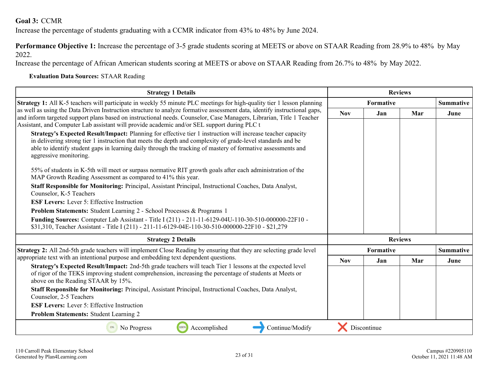#### <span id="page-22-0"></span>**Goal 3:** CCMR

Increase the percentage of students graduating with a CCMR indicator from 43% to 48% by June 2024.

**Performance Objective 1:** Increase the percentage of 3-5 grade students scoring at MEETS or above on STAAR Reading from 28.9% to 48% by May 2022.

Increase the percentage of African American students scoring at MEETS or above on STAAR Reading from 26.7% to 48% by May 2022.

#### **Evaluation Data Sources:** STAAR Reading

| <b>Strategy 1 Details</b>                                                                                                                                                                                                                                                                                                                                            | <b>Reviews</b>   |                  |                |                  |                  |
|----------------------------------------------------------------------------------------------------------------------------------------------------------------------------------------------------------------------------------------------------------------------------------------------------------------------------------------------------------------------|------------------|------------------|----------------|------------------|------------------|
| <b>Strategy 1:</b> All K-5 teachers will participate in weekly 55 minute PLC meetings for high-quality tier 1 lesson planning                                                                                                                                                                                                                                        | <b>Formative</b> |                  |                |                  | <b>Summative</b> |
| as well as using the Data Driven Instruction structure to analyze formative assessment data, identify instructional gaps,<br>and inform targeted support plans based on instructional needs. Counselor, Case Managers, Librarian, Title 1 Teacher<br>Assistant, and Computer Lab assistant will provide academic and/or SEL support during PLC t                     | <b>Nov</b>       | Jan              | Mar            | June             |                  |
| Strategy's Expected Result/Impact: Planning for effective tier 1 instruction will increase teacher capacity<br>in delivering strong tier 1 instruction that meets the depth and complexity of grade-level standards and be<br>able to identify student gaps in learning daily through the tracking of mastery of formative assessments and<br>aggressive monitoring. |                  |                  |                |                  |                  |
| 55% of students in K-5th will meet or surpass normative RIT growth goals after each administration of the<br>MAP Growth Reading Assessment as compared to 41% this year.                                                                                                                                                                                             |                  |                  |                |                  |                  |
| Staff Responsible for Monitoring: Principal, Assistant Principal, Instructional Coaches, Data Analyst,<br>Counselor, K-5 Teachers                                                                                                                                                                                                                                    |                  |                  |                |                  |                  |
| <b>ESF Levers:</b> Lever 5: Effective Instruction                                                                                                                                                                                                                                                                                                                    |                  |                  |                |                  |                  |
| Problem Statements: Student Learning 2 - School Processes & Programs 1                                                                                                                                                                                                                                                                                               |                  |                  |                |                  |                  |
| Funding Sources: Computer Lab Assistant - Title I (211) - 211-11-6129-04U-110-30-510-000000-22F10 -<br>\$31,310, Teacher Assistant - Title I (211) - 211-11-6129-04E-110-30-510-000000-22F10 - \$21,279                                                                                                                                                              |                  |                  |                |                  |                  |
| <b>Strategy 2 Details</b>                                                                                                                                                                                                                                                                                                                                            |                  |                  | <b>Reviews</b> |                  |                  |
| Strategy 2: All 2nd-5th grade teachers will implement Close Reading by ensuring that they are selecting grade level                                                                                                                                                                                                                                                  |                  | <b>Formative</b> |                | <b>Summative</b> |                  |
| appropriate text with an intentional purpose and embedding text dependent questions.                                                                                                                                                                                                                                                                                 | <b>Nov</b>       | Jan              | Mar            | June             |                  |
| Strategy's Expected Result/Impact: 2nd-5th grade teachers will teach Tier 1 lessons at the expected level<br>of rigor of the TEKS improving student comprehension, increasing the percentage of students at Meets or<br>above on the Reading STAAR by 15%.                                                                                                           |                  |                  |                |                  |                  |
| Staff Responsible for Monitoring: Principal, Assistant Principal, Instructional Coaches, Data Analyst,<br>Counselor, 2-5 Teachers                                                                                                                                                                                                                                    |                  |                  |                |                  |                  |
| <b>ESF Levers:</b> Lever 5: Effective Instruction                                                                                                                                                                                                                                                                                                                    |                  |                  |                |                  |                  |
| Problem Statements: Student Learning 2                                                                                                                                                                                                                                                                                                                               |                  |                  |                |                  |                  |
| Continue/Modify<br>No Progress<br>100%<br>Accomplished<br>0%                                                                                                                                                                                                                                                                                                         |                  | Discontinue      |                |                  |                  |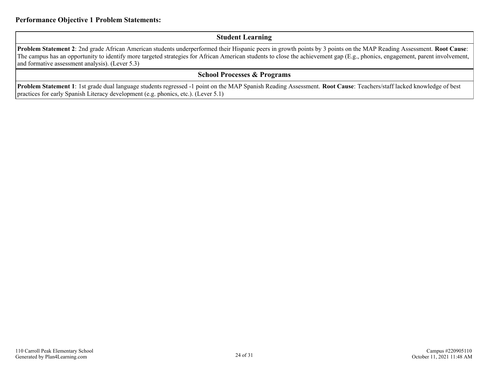#### **Student Learning**

**Problem Statement 2**: 2nd grade African American students underperformed their Hispanic peers in growth points by 3 points on the MAP Reading Assessment. **Root Cause**: The campus has an opportunity to identify more targeted strategies for African American students to close the achievement gap (E.g., phonics, engagement, parent involvement, and formative assessment analysis). (Lever 5.3)

#### **School Processes & Programs**

**Problem Statement 1**: 1st grade dual language students regressed -1 point on the MAP Spanish Reading Assessment. **Root Cause**: Teachers/staff lacked knowledge of best practices for early Spanish Literacy development (e.g. phonics, etc.). (Lever 5.1)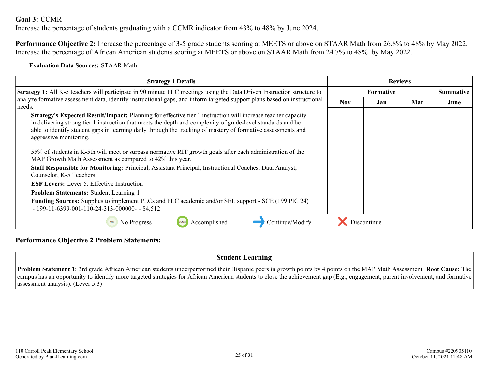#### **Goal 3:** CCMR

Increase the percentage of students graduating with a CCMR indicator from 43% to 48% by June 2024.

**Performance Objective 2:** Increase the percentage of 3-5 grade students scoring at MEETS or above on STAAR Math from 26.8% to 48% by May 2022. Increase the percentage of African American students scoring at MEETS or above on STAAR Math from 24.7% to 48% by May 2022.

**Evaluation Data Sources:** STAAR Math

| <b>Strategy 1 Details</b>                                                                                                                                                                                                                                                                                                                                                                                                                                                         | <b>Reviews</b>   |             |     |                  |
|-----------------------------------------------------------------------------------------------------------------------------------------------------------------------------------------------------------------------------------------------------------------------------------------------------------------------------------------------------------------------------------------------------------------------------------------------------------------------------------|------------------|-------------|-----|------------------|
| <b>Strategy 1:</b> All K-5 teachers will participate in 90 minute PLC meetings using the Data Driven Instruction structure to                                                                                                                                                                                                                                                                                                                                                     | <b>Formative</b> |             |     | <b>Summative</b> |
| analyze formative assessment data, identify instructional gaps, and inform targeted support plans based on instructional<br>needs.                                                                                                                                                                                                                                                                                                                                                | Nov.             | Jan         | Mar | June             |
| Strategy's Expected Result/Impact: Planning for effective tier 1 instruction will increase teacher capacity<br>in delivering strong tier 1 instruction that meets the depth and complexity of grade-level standards and be<br>able to identify student gaps in learning daily through the tracking of mastery of formative assessments and<br>aggressive monitoring.<br>55% of students in K-5th will meet or surpass normative RIT growth goals after each administration of the |                  |             |     |                  |
| MAP Growth Math Assessment as compared to 42% this year.<br>Staff Responsible for Monitoring: Principal, Assistant Principal, Instructional Coaches, Data Analyst,                                                                                                                                                                                                                                                                                                                |                  |             |     |                  |
| Counselor, K-5 Teachers                                                                                                                                                                                                                                                                                                                                                                                                                                                           |                  |             |     |                  |
| <b>ESF Levers:</b> Lever 5: Effective Instruction                                                                                                                                                                                                                                                                                                                                                                                                                                 |                  |             |     |                  |
| <b>Problem Statements: Student Learning 1</b>                                                                                                                                                                                                                                                                                                                                                                                                                                     |                  |             |     |                  |
| <b>Funding Sources:</b> Supplies to implement PLCs and PLC academic and/or SEL support - SCE (199 PIC 24)<br>$-199-11-6399-001-110-24-313-000000 -$ \$4,512                                                                                                                                                                                                                                                                                                                       |                  |             |     |                  |
| Continue/Modify<br>Accomplished<br>No Progress<br>100%                                                                                                                                                                                                                                                                                                                                                                                                                            |                  | Discontinue |     |                  |

#### **Performance Objective 2 Problem Statements:**

**Student Learning**

**Problem Statement 1**: 3rd grade African American students underperformed their Hispanic peers in growth points by 4 points on the MAP Math Assessment. **Root Cause**: The campus has an opportunity to identify more targeted strategies for African American students to close the achievement gap (E.g., engagement, parent involvement, and formative assessment analysis). (Lever 5.3)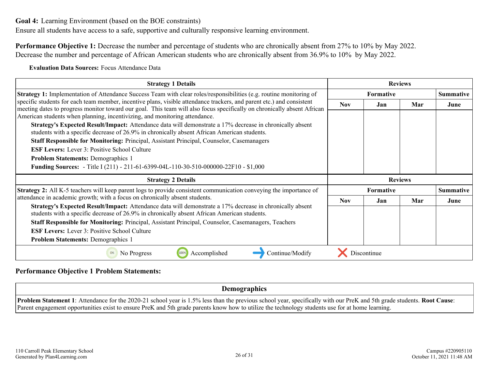<span id="page-25-0"></span>**Goal 4:** Learning Environment (based on the BOE constraints)

Ensure all students have access to a safe, supportive and culturally responsive learning environment.

**Performance Objective 1:** Decrease the number and percentage of students who are chronically absent from 27% to 10% by May 2022. Decrease the number and percentage of African American students who are chronically absent from 36.9% to 10% by May 2022.

**Evaluation Data Sources:** Focus Attendance Data

| <b>Strategy 1 Details</b>                                                                                                                                                                                                                                                                                                      | <b>Reviews</b>   |             |                |                  |
|--------------------------------------------------------------------------------------------------------------------------------------------------------------------------------------------------------------------------------------------------------------------------------------------------------------------------------|------------------|-------------|----------------|------------------|
| <b>Strategy 1:</b> Implementation of Attendance Success Team with clear roles/responsibilities (e.g. routine monitoring of                                                                                                                                                                                                     | <b>Formative</b> |             |                | <b>Summative</b> |
| specific students for each team member, incentive plans, visible attendance trackers, and parent etc.) and consistent<br>meeting dates to progress monitor toward our goal. This team will also focus specifically on chronically absent African<br>American students when planning, incentivizing, and monitoring attendance. | <b>Nov</b>       | <b>Jan</b>  | Mar            | June             |
| Strategy's Expected Result/Impact: Attendance data will demonstrate a 17% decrease in chronically absent<br>students with a specific decrease of 26.9% in chronically absent African American students.                                                                                                                        |                  |             |                |                  |
| <b>Staff Responsible for Monitoring: Principal, Assistant Principal, Counselor, Casemanagers</b>                                                                                                                                                                                                                               |                  |             |                |                  |
| <b>ESF Levers:</b> Lever 3: Positive School Culture                                                                                                                                                                                                                                                                            |                  |             |                |                  |
| <b>Problem Statements: Demographics 1</b>                                                                                                                                                                                                                                                                                      |                  |             |                |                  |
| <b>Funding Sources:</b> - Title I (211) - 211-61-6399-04L-110-30-510-000000-22F10 - \$1,000                                                                                                                                                                                                                                    |                  |             |                |                  |
| <b>Strategy 2 Details</b>                                                                                                                                                                                                                                                                                                      |                  |             | <b>Reviews</b> |                  |
| <b>Strategy 2:</b> All K-5 teachers will keep parent logs to provide consistent communication conveying the importance of                                                                                                                                                                                                      | <b>Formative</b> |             |                | <b>Summative</b> |
| attendance in academic growth; with a focus on chronically absent students.                                                                                                                                                                                                                                                    | <b>Nov</b>       | Jan         | Mar            | June             |
| Strategy's Expected Result/Impact: Attendance data will demonstrate a 17% decrease in chronically absent<br>students with a specific decrease of 26.9% in chronically absent African American students.                                                                                                                        |                  |             |                |                  |
| Staff Responsible for Monitoring: Principal, Assistant Principal, Counselor, Casemanagers, Teachers                                                                                                                                                                                                                            |                  |             |                |                  |
| <b>ESF Levers:</b> Lever 3: Positive School Culture                                                                                                                                                                                                                                                                            |                  |             |                |                  |
| <b>Problem Statements: Demographics 1</b>                                                                                                                                                                                                                                                                                      |                  |             |                |                  |
| Accomplished<br>Continue/Modify<br>No Progress<br>100%                                                                                                                                                                                                                                                                         |                  | Discontinue |                |                  |

#### **Performance Objective 1 Problem Statements:**

**Demographics**

**Problem Statement 1**: Attendance for the 2020-21 school year is 1.5% less than the previous school year, specifically with our PreK and 5th grade students. **Root Cause**: Parent engagement opportunities exist to ensure PreK and 5th grade parents know how to utilize the technology students use for at home learning.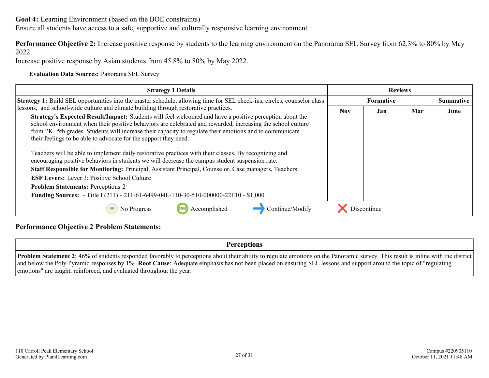**Goal 4:** Learning Environment (based on the BOE constraints)

Ensure all students have access to a safe, supportive and culturally responsive learning environment.

**Performance Objective 2:** Increase positive response by students to the learning environment on the Panorama SEL Survey from 62.3% to 80% by May 2022.

Increase positive response by Asian students from 45.8% to 80% by May 2022.

**Evaluation Data Sources:** Panorama SEL Survey

| <b>Strategy 1 Details</b>                                                                                                                                                                                                                                                                                                                                                                                    |                  | <b>Reviews</b> |  |                  |
|--------------------------------------------------------------------------------------------------------------------------------------------------------------------------------------------------------------------------------------------------------------------------------------------------------------------------------------------------------------------------------------------------------------|------------------|----------------|--|------------------|
| Strategy 1: Build SEL opportunities into the master schedule, allowing time for SEL check-ins, circles, counselor class                                                                                                                                                                                                                                                                                      | <b>Formative</b> |                |  | <b>Summative</b> |
| lessons, and school-wide culture and climate building through restorative practices.                                                                                                                                                                                                                                                                                                                         | <b>Nov</b>       | Mar<br>Jan     |  |                  |
| <b>Strategy's Expected Result/Impact:</b> Students will feel welcomed and have a positive perception about the<br>school environment when their positive behaviors are celebrated and rewarded, increasing the school culture<br>from PK-5th grades. Students will increase their capacity to regulate their emotions and to communicate<br>their feelings to be able to advocate for the support they need. |                  |                |  |                  |
| Teachers will be able to implement daily restorative practices with their classes. By recognizing and<br>encouraging positive behaviors in students we will decrease the campus student suspension rate.                                                                                                                                                                                                     |                  |                |  |                  |
| Staff Responsible for Monitoring: Principal, Assistant Principal, Counselor, Case managers, Teachers                                                                                                                                                                                                                                                                                                         |                  |                |  |                  |
| <b>ESF Levers:</b> Lever 3: Positive School Culture                                                                                                                                                                                                                                                                                                                                                          |                  |                |  |                  |
| <b>Problem Statements: Perceptions 2</b>                                                                                                                                                                                                                                                                                                                                                                     |                  |                |  |                  |
| <b>Funding Sources:</b> - Title I (211) - 211-61-6499-04L-110-30-510-000000-22F10 - \$1,000                                                                                                                                                                                                                                                                                                                  |                  |                |  |                  |
| Accomplished<br>Continue/Modify<br>No Progress<br>0%                                                                                                                                                                                                                                                                                                                                                         |                  | Discontinue    |  |                  |

#### **Performance Objective 2 Problem Statements:**

**Perceptions**

**Problem Statement 2**: 46% of students responded favorably to perceptions about their ability to regulate emotions on the Panoramic survey. This result is inline with the district and below the Poly Pyramid responses by 1%. **Root Cause**: Adequate emphasis has not been placed on ensuring SEL lessons and support around the topic of "regulating emotions" are taught, reinforced, and evaluated throughout the year.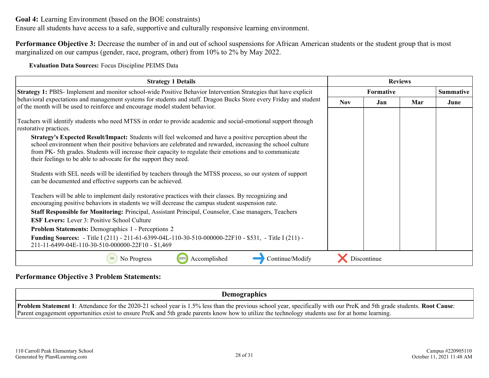**Goal 4:** Learning Environment (based on the BOE constraints)

Ensure all students have access to a safe, supportive and culturally responsive learning environment.

**Performance Objective 3:** Decrease the number of in and out of school suspensions for African American students or the student group that is most marginalized on our campus (gender, race, program, other) from 10% to 2% by May 2022.

**Evaluation Data Sources:** Focus Discipline PEIMS Data

| <b>Strategy 1 Details</b>                                                                                                                                                                                                                                                                                                                                                                             | <b>Reviews</b>   |             |     |                  |
|-------------------------------------------------------------------------------------------------------------------------------------------------------------------------------------------------------------------------------------------------------------------------------------------------------------------------------------------------------------------------------------------------------|------------------|-------------|-----|------------------|
| <b>Strategy 1: PBIS-Implement and monitor school-wide Positive Behavior Intervention Strategies that have explicit</b>                                                                                                                                                                                                                                                                                | <b>Formative</b> |             |     | <b>Summative</b> |
| behavioral expectations and management systems for students and staff. Dragon Bucks Store every Friday and student<br>of the month will be used to reinforce and encourage model student behavior.                                                                                                                                                                                                    | <b>Nov</b>       | Jan.        | Mar | June             |
| Teachers will identify students who need MTSS in order to provide academic and social-emotional support through<br>restorative practices.                                                                                                                                                                                                                                                             |                  |             |     |                  |
| Strategy's Expected Result/Impact: Students will feel welcomed and have a positive perception about the<br>school environment when their positive behaviors are celebrated and rewarded, increasing the school culture<br>from PK-5th grades. Students will increase their capacity to regulate their emotions and to communicate<br>their feelings to be able to advocate for the support they need. |                  |             |     |                  |
| Students with SEL needs will be identified by teachers through the MTSS process, so our system of support<br>can be documented and effective supports can be achieved.                                                                                                                                                                                                                                |                  |             |     |                  |
| Teachers will be able to implement daily restorative practices with their classes. By recognizing and<br>encouraging positive behaviors in students we will decrease the campus student suspension rate.                                                                                                                                                                                              |                  |             |     |                  |
| Staff Responsible for Monitoring: Principal, Assistant Principal, Counselor, Case managers, Teachers                                                                                                                                                                                                                                                                                                  |                  |             |     |                  |
| <b>ESF Levers:</b> Lever 3: Positive School Culture                                                                                                                                                                                                                                                                                                                                                   |                  |             |     |                  |
| <b>Problem Statements:</b> Demographics 1 - Perceptions 2                                                                                                                                                                                                                                                                                                                                             |                  |             |     |                  |
| <b>Funding Sources:</b> - Title I (211) - 211-61-6399-04L-110-30-510-000000-22F10 - \$531, - Title I (211) -<br>211-11-6499-04E-110-30-510-000000-22F10 - \$1,469                                                                                                                                                                                                                                     |                  |             |     |                  |
| Accomplished<br>Continue/Modify<br>No Progress<br>0%                                                                                                                                                                                                                                                                                                                                                  |                  | Discontinue |     |                  |

#### **Performance Objective 3 Problem Statements:**

**Demographics**

**Problem Statement 1**: Attendance for the 2020-21 school year is 1.5% less than the previous school year, specifically with our PreK and 5th grade students. **Root Cause**: Parent engagement opportunities exist to ensure PreK and 5th grade parents know how to utilize the technology students use for at home learning.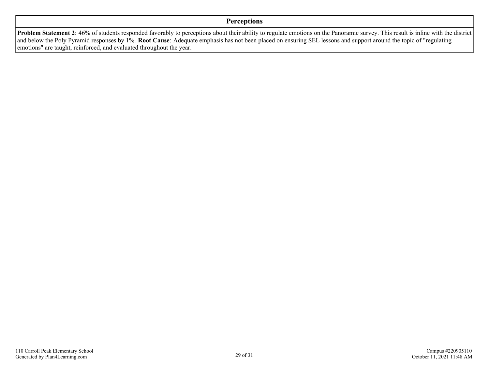#### **Perceptions**

**Problem Statement 2**: 46% of students responded favorably to perceptions about their ability to regulate emotions on the Panoramic survey. This result is inline with the district and below the Poly Pyramid responses by 1%. **Root Cause**: Adequate emphasis has not been placed on ensuring SEL lessons and support around the topic of "regulating emotions" are taught, reinforced, and evaluated throughout the year.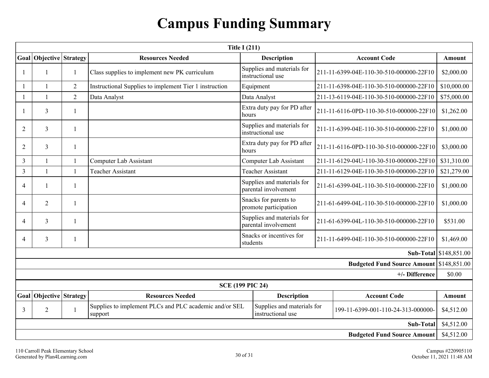## **Campus Funding Summary**

<span id="page-29-0"></span>

| <b>Title I (211)</b>               |                           |                |                                                                   |                                                    |                                         |                                                 |                        |
|------------------------------------|---------------------------|----------------|-------------------------------------------------------------------|----------------------------------------------------|-----------------------------------------|-------------------------------------------------|------------------------|
| Goal                               | <b>Objective Strategy</b> |                | <b>Resources Needed</b>                                           | <b>Description</b>                                 |                                         | <b>Account Code</b>                             | Amount                 |
|                                    | 1                         | 1              | Class supplies to implement new PK curriculum                     | Supplies and materials for<br>instructional use    | 211-11-6399-04E-110-30-510-000000-22F10 | \$2,000.00                                      |                        |
|                                    |                           | 2              | Instructional Supplies to implement Tier 1 instruction            | Equipment                                          |                                         | 211-11-6398-04E-110-30-510-000000-22F10         | \$10,000.00            |
|                                    | $\mathbf{1}$              | $\overline{2}$ | Data Analyst                                                      | Data Analyst                                       |                                         | 211-13-6119-04E-110-30-510-000000-22F10         | \$75,000.00            |
|                                    | $\mathfrak{Z}$            |                |                                                                   | Extra duty pay for PD after<br>hours               |                                         | 211-11-6116-0PD-110-30-510-000000-22F10         | \$1,262.00             |
| $\overline{2}$                     | $\overline{3}$            | $\mathbf{1}$   |                                                                   | Supplies and materials for<br>instructional use    | 211-11-6399-04E-110-30-510-000000-22F10 | \$1,000.00                                      |                        |
| $\overline{2}$                     | $\mathfrak{Z}$            | 1              |                                                                   | Extra duty pay for PD after<br>hours               | 211-11-6116-0PD-110-30-510-000000-22F10 | \$3,000.00                                      |                        |
| 3                                  | $\mathbf{1}$              | $\mathbf{1}$   | Computer Lab Assistant                                            | Computer Lab Assistant                             |                                         | 211-11-6129-04U-110-30-510-000000-22F10         | \$31,310.00            |
| $\overline{3}$                     | $\mathbf{1}$              | $\mathbf{1}$   | <b>Teacher Assistant</b>                                          | <b>Teacher Assistant</b>                           | 211-11-6129-04E-110-30-510-000000-22F10 |                                                 | \$21,279.00            |
| $\overline{4}$                     | 1                         | 1              |                                                                   | Supplies and materials for<br>parental involvement | 211-61-6399-04L-110-30-510-000000-22F10 |                                                 | \$1,000.00             |
| $\overline{\mathcal{A}}$           | $\overline{2}$            | -1             |                                                                   | Snacks for parents to<br>promote participation     | 211-61-6499-04L-110-30-510-000000-22F10 |                                                 | \$1,000.00             |
| $\overline{\mathcal{A}}$           | $\overline{3}$            |                |                                                                   | Supplies and materials for<br>parental involvement | 211-61-6399-04L-110-30-510-000000-22F10 |                                                 | \$531.00               |
| $\overline{4}$                     | 3                         |                |                                                                   | Snacks or incentives for<br>students               |                                         | 211-11-6499-04E-110-30-510-000000-22F10         | \$1,469.00             |
|                                    |                           |                |                                                                   |                                                    |                                         |                                                 | Sub-Total \$148,851.00 |
|                                    |                           |                |                                                                   |                                                    |                                         | <b>Budgeted Fund Source Amount \$148,851.00</b> |                        |
|                                    |                           |                |                                                                   |                                                    |                                         | +/- Difference                                  | \$0.00                 |
|                                    |                           |                |                                                                   | <b>SCE (199 PIC 24)</b>                            |                                         |                                                 |                        |
|                                    | Goal Objective Strategy   |                | <b>Resources Needed</b>                                           | <b>Description</b>                                 |                                         | <b>Account Code</b>                             | Amount                 |
| 3                                  | $\overline{2}$            |                | Supplies to implement PLCs and PLC academic and/or SEL<br>support | Supplies and materials for<br>instructional use    | 199-11-6399-001-110-24-313-000000-      |                                                 | \$4,512.00             |
| <b>Sub-Total</b>                   |                           |                |                                                                   |                                                    |                                         |                                                 | \$4,512.00             |
| <b>Budgeted Fund Source Amount</b> |                           |                |                                                                   |                                                    |                                         |                                                 | \$4,512.00             |